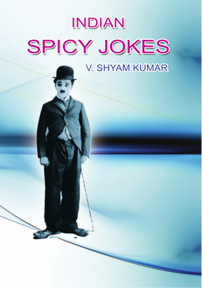# INDIAN **SPICY JOKES**

**V. SHYAM KUMAR**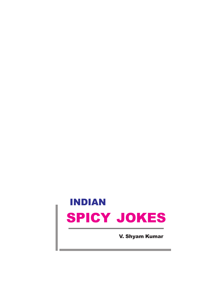## INDIAN SPICY JOKES

V. Shyam Kumar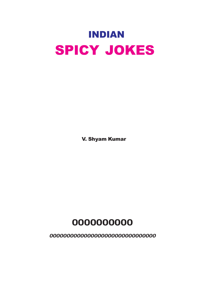

V. Shyam Kumar

**0000000000**

**0000000000000000000000000000000**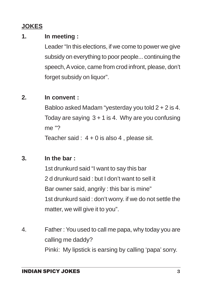### **JOKES**

#### **1. In meeting :**

Leader "In this elections, if we come to power we give subsidy on everything to poor people... continuing the speech, A voice, came from crod infront, please, don't forget subsidy on liquor".

#### **2. In convent :**

Babloo asked Madam "yesterday you told 2 + 2 is 4. Today are saying  $3 + 1$  is 4. Why are you confusing me "?

Teacher said :  $4 + 0$  is also 4, please sit.

#### **3. In the bar :**

1st drunkurd said "I want to say this bar 2 d drunkurd said : but I don't want to sell it Bar owner said, angrily : this bar is mine" 1st drunkurd said : don't worry. if we do not settle the matter, we will give it to you".

4. Father : You used to call me papa, why today you are calling me daddy? Pinki: My lipstick is earsing by calling 'papa' sorry.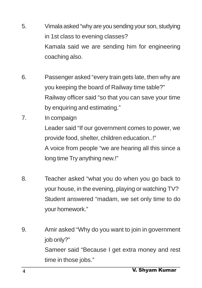- 5. Vimala asked "why are you sending your son, studying in 1st class to evening classes? Kamala said we are sending him for engineering coaching also.
- 6. Passenger asked "every train gets late, then why are you keeping the board of Railway time table?" Railway officer said "so that you can save your time by enquiring and estimating."
- 7. In compaign Leader said "If our government comes to power, we provide food, shelter, children education..!" A voice from people "we are hearing all this since a long time Try anything new.!"
- 8. Teacher asked "what you do when you go back to your house, in the evening, playing or watching TV? Student answered "madam, we set only time to do your homework."
- 9. Amir asked "Why do you want to join in government job only?" Sameer said "Because I get extra money and rest time in those jobs."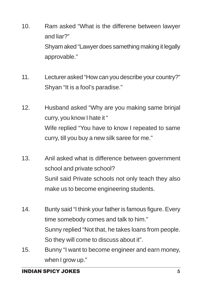- 10. Ram asked "What is the differene between lawyer and liar?" Shyam aked "Lawyer does samething making it legally approvable."
- 11. Lecturer asked "How can you describe your country?" Shyan "It is a fool's paradise."
- 12. Husband asked "Why are you making same brinjal curry, you know I hate it " Wife replied "You have to know I repeated to same curry, till you buy a new silk saree for me."
- 13. Anil asked what is difference between government school and private school? Sunil said Private schools not only teach they also make us to become engineering students.
- 14. Bunty said "I think your father is famous figure. Every time somebody comes and talk to him." Sunny replied "Not that, he takes loans from people. So they will come to discuss about it".
- 15. Bunny "I want to become engineer and earn money, when I grow up."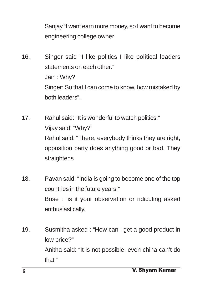Sanjay "I want earn more money, so I want to become engineering college owner

- 16. Singer said "I like politics I like political leaders statements on each other." Jain : Why? Singer: So that I can come to know, how mistaked by both leaders".
- 17. Rahul said: "It is wonderful to watch politics." Vijay said: "Why?" Rahul said: "There, everybody thinks they are right, opposition party does anything good or bad. They straightens
- 18. Pavan said: "India is going to become one of the top countries in the future years." Bose : "is it your observation or ridiculing asked enthusiastically.
- 19. Susmitha asked : "How can I get a good product in low price?" Anitha said: "It is not possible. even china can't do that."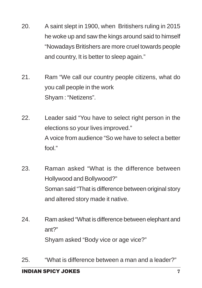- 20. A saint slept in 1900, when Britishers ruling in 2015 he woke up and saw the kings around said to himself "Nowadays Britishers are more cruel towards people and country, It is better to sleep again."
- 21. Ram "We call our country people citizens, what do you call people in the work Shyam : "Netizens".
- 22. Leader said "You have to select right person in the elections so your lives improved." A voice from audience "So we have to select a better fool."
- 23. Raman asked "What is the difference between Hollywood and Bollywood?" Soman said "That is difference between original story and altered story made it native.
- 24. Ram asked "What is difference between elephant and ant?" Shyam asked "Body vice or age vice?"
- 25. "What is difference between a man and a leader?"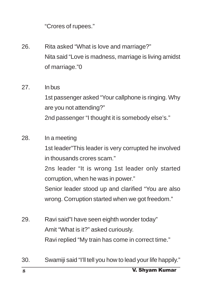"Crores of rupees."

- 26. Rita asked "What is love and marriage?" Nita said "Love is madness, marriage is living amidst of marriage."0
- 27. In bus 1st passenger asked "Your callphone is ringing. Why are you not attending?" 2nd passenger "I thought it is somebody else's."
- 28. In a meeting 1st leader"This leader is very corrupted he involved in thousands crores scam." 2ns leader "It is wrong 1st leader only started corruption, when he was in power." Senior leader stood up and clarified "You are also wrong. Corruption started when we got freedom."
- 29. Ravi said"I have seen eighth wonder today" Amit "What is it?" asked curiously. Ravi replied "My train has come in correct time."
- 30. Swamiji said "I'll tell you how to lead your life happily."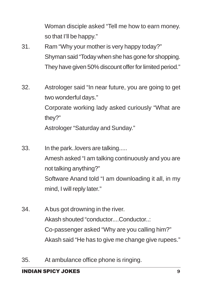Woman disciple asked "Tell me how to earn money. so that I'll be happy."

- 31. Ram "Why your mother is very happy today?" Shyman said "Today when she has gone for shopping. They have given 50% discount offer for limited period."
- 32. Astrologer said "In near future, you are going to get two wonderful days." Corporate working lady asked curiously "What are they?" Astrologer "Saturday and Sunday."
- 33. In the park..lovers are talking..... Amesh asked "I am talking continuously and you are not talking anything?" Software Anand told "I am downloading it all, in my mind, I will reply later."
- 34. A bus got drowning in the river. Akash shouted "conductor....Conductor..: Co-passenger asked "Why are you calling him?" Akash said "He has to give me change give rupees."
- 35. At ambulance office phone is ringing.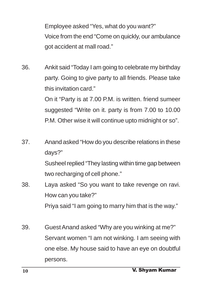Employee asked "Yes, what do you want?" Voice from the end "Come on quickly, our ambulance got accident at mall road."

36. Ankit said "Today I am going to celebrate my birthday party. Going to give party to all friends. Please take this invitation card."

On it "Party is at 7.00 P.M. is written. friend sumeer suggested "Write on it. party is from 7.00 to 10.00 P.M. Other wise it will continue upto midnight or so".

37. Anand asked "How do you describe relations in these days?" Susheel replied "They lasting within time gap between two recharging of cell phone."

38. Laya asked "So you want to take revenge on ravi. How can you take?" Priya said "I am going to marry him that is the way."

39. Guest Anand asked "Why are you winking at me?" Servant women "I am not winking. I am seeing with one else. My house said to have an eye on doubtful persons.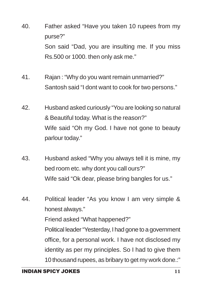- 40. Father asked "Have you taken 10 rupees from my purse?" Son said "Dad, you are insulting me. If you miss Rs.500 or 1000. then only ask me."
- 41. Rajan : "Why do you want remain unmarried?" Santosh said "I dont want to cook for two persons."
- 42. Husband asked curiously "You are looking so natural & Beautiful today. What is the reason?" Wife said "Oh my God. I have not gone to beauty parlour today."
- 43. Husband asked "Why you always tell it is mine, my bed room etc. why dont you call ours?" Wife said "Ok dear, please bring bangles for us."
- 44. Political leader "As you know I am very simple & honest always." Friend asked "What happened?" Political leader "Yesterday, I had gone to a government office, for a personal work. I have not disclosed my identity as per my principles. So I had to give them 10 thousand rupees, as bribary to get my work done.:"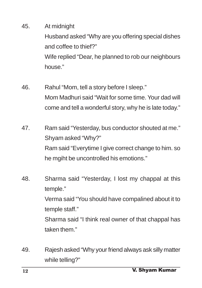#### 45. At midnight

Husband asked "Why are you offering special dishes and coffee to thief?"

Wife replied "Dear, he planned to rob our neighbours house."

- 46. Rahul "Mom, tell a story before I sleep." Mom Madhuri said "Wait for some time. Your dad will come and tell a wonderful story, why he is late today."
- 47. Ram said "Yesterday, bus conductor shouted at me." Shyam asked "Why?" Ram said "Everytime I give correct change to him. so he mgiht be uncontrolled his emotions."
- 48. Sharma said "Yesterday, I lost my chappal at this temple." Verma said "You should have compalined about it to temple staff." Sharma said "I think real owner of that chappal has taken them."
- 49. Rajesh asked "Why your friend always ask silly matter while telling?"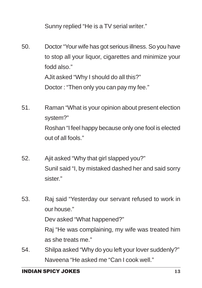Sunny replied "He is a TV serial writer."

50. Doctor "Your wife has got serious illness. So you have to stop all your liquor, cigarettes and minimize your fodd also." AJit asked "Why I should do all this?" Doctor : "Then only you can pay my fee."

- 51. Raman "What is your opinion about present election system?" Roshan "I feel happy because only one fool is elected out of all fools."
- 52. Ajit asked "Why that girl slapped you?" Sunil said "I, by mistaked dashed her and said sorry sister."

53. Raj said "Yesterday our servant refused to work in our house." Dev asked "What happened?" Raj "He was complaining, my wife was treated him

54. Shilpa asked "Why do you left your lover suddenly?" Naveena "He asked me "Can I cook well."

as she treats me."